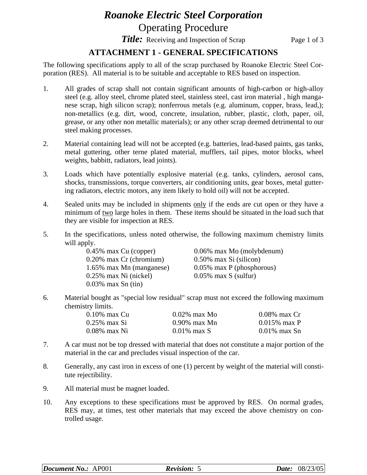# *Roanoke Electric Steel Corporation* Operating Procedure

*Title:* Receiving and Inspection of Scrap Page 1 of 3

## **ATTACHMENT 1 - GENERAL SPECIFICATIONS**

The following specifications apply to all of the scrap purchased by Roanoke Electric Steel Corporation (RES). All material is to be suitable and acceptable to RES based on inspection.

- 1. All grades of scrap shall not contain significant amounts of high-carbon or high-alloy steel (e.g. alloy steel, chrome plated steel, stainless steel, cast iron material , high manganese scrap, high silicon scrap); nonferrous metals (e.g. aluminum, copper, brass, lead,); non-metallics (e.g. dirt, wood, concrete, insulation, rubber, plastic, cloth, paper, oil, grease, or any other non metallic materials); or any other scrap deemed detrimental to our steel making processes.
- 2. Material containing lead will not be accepted (e.g. batteries, lead-based paints, gas tanks, metal guttering, other terne plated material, mufflers, tail pipes, motor blocks, wheel weights, babbitt, radiators, lead joints).
- 3. Loads which have potentially explosive material (e.g. tanks, cylinders, aerosol cans, shocks, transmissions, torque converters, air conditioning units, gear boxes, metal guttering radiators, electric motors, any item likely to hold oil) will not be accepted.
- 4. Sealed units may be included in shipments only if the ends are cut open or they have a minimum of two large holes in them. These items should be situated in the load such that they are visible for inspection at RES.
- 5. In the specifications, unless noted otherwise, the following maximum chemistry limits will apply.

| $0.45\%$ max Cu (copper)   | 0.06% max Mo (molybdenum)    |
|----------------------------|------------------------------|
| $0.20\%$ max Cr (chromium) | $0.50\%$ max Si (silicon)    |
| 1.65% max Mn (manganese)   | $0.05\%$ max P (phosphorous) |
| $0.25\%$ max Ni (nickel)   | $0.05\%$ max S (sulfur)      |
| $0.03\%$ max Sn (tin)      |                              |

6. Material bought as "special low residual" scrap must not exceed the following maximum chemistry limits.

| 0.10% max Cu | $0.02\%$ max Mo | $0.08\%$ max Cr |
|--------------|-----------------|-----------------|
| 0.25% max Si | $0.90\%$ max Mn | $0.015\%$ max P |
| 0.08% max Ni | $0.01\%$ max S  | $0.01\%$ max Sn |

- 7. A car must not be top dressed with material that does not constitute a major portion of the material in the car and precludes visual inspection of the car.
- 8. Generally, any cast iron in excess of one (1) percent by weight of the material will constitute rejectibility.
- 9. All material must be magnet loaded.
- 10. Any exceptions to these specifications must be approved by RES. On normal grades, RES may, at times, test other materials that may exceed the above chemistry on controlled usage.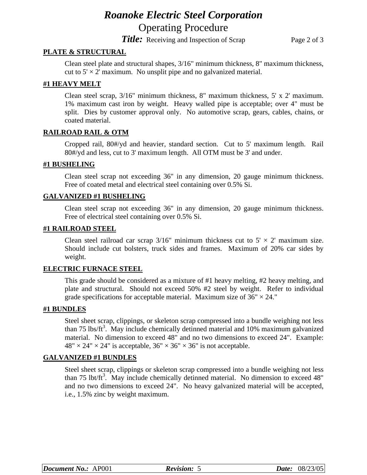# *Roanoke Electric Steel Corporation* Operating Procedure

*Title:* Receiving and Inspection of Scrap Page 2 of 3

### **PLATE & STRUCTURAL**

Clean steel plate and structural shapes, 3/16" minimum thickness, 8" maximum thickness, cut to  $5' \times 2'$  maximum. No unsplit pipe and no galvanized material.

#### **#1 HEAVY MELT**

Clean steel scrap, 3/16" minimum thickness, 8" maximum thickness, 5' x 2' maximum. 1% maximum cast iron by weight. Heavy walled pipe is acceptable; over 4" must be split. Dies by customer approval only. No automotive scrap, gears, cables, chains, or coated material.

#### **RAILROAD RAIL & OTM**

Cropped rail, 80#/yd and heavier, standard section. Cut to 5' maximum length. Rail 80#/yd and less, cut to 3' maximum length. All OTM must be 3' and under.

#### **#1 BUSHELING**

Clean steel scrap not exceeding 36" in any dimension, 20 gauge minimum thickness. Free of coated metal and electrical steel containing over 0.5% Si.

#### **GALVANIZED #1 BUSHELING**

Clean steel scrap not exceeding 36" in any dimension, 20 gauge minimum thickness. Free of electrical steel containing over 0.5% Si.

#### **#1 RAILROAD STEEL**

Clean steel railroad car scrap  $3/16$ " minimum thickness cut to  $5' \times 2'$  maximum size. Should include cut bolsters, truck sides and frames. Maximum of 20% car sides by weight.

#### **ELECTRIC FURNACE STEEL**

This grade should be considered as a mixture of #1 heavy melting, #2 heavy melting, and plate and structural. Should not exceed 50% #2 steel by weight. Refer to individual grade specifications for acceptable material. Maximum size of  $36" \times 24."$ 

#### **#1 BUNDLES**

Steel sheet scrap, clippings, or skeleton scrap compressed into a bundle weighing not less than 75 lbs/ft<sup>3</sup>. May include chemically detinned material and 10% maximum galvanized material. No dimension to exceed 48" and no two dimensions to exceed 24". Example:  $48" \times 24" \times 24"$  is acceptable,  $36" \times 36" \times 36"$  is not acceptable.

#### **GALVANIZED #1 BUNDLES**

Steel sheet scrap, clippings or skeleton scrap compressed into a bundle weighing not less than 75 lbt/ft<sup>3</sup>. May include chemically detinned material. No dimension to exceed 48" and no two dimensions to exceed 24". No heavy galvanized material will be accepted, i.e., 1.5% zinc by weight maximum.